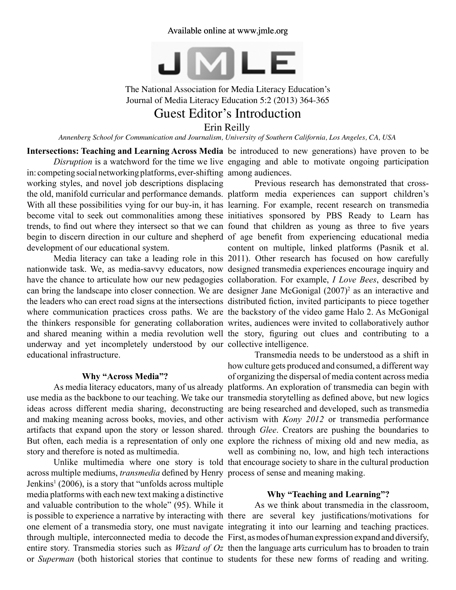

The National Association for Media Literacy Education's Journal of Media Literacy Education 5:2 (2013) 364-365

# Guest Editor's Introduction

Erin Reilly

*Annenberg School for Communication and Journalism, University of Southern California, Los Angeles, CA, USA*

in: competing social networking platforms, ever-shifting among audiences. working styles, and novel job descriptions displacing development of our educational system.

underway and yet incompletely understood by our collective intelligence. educational infrastructure.

## **Why "Across Media"?**

story and therefore is noted as multimedia.

across multiple mediums, *transmedia* defined by Henry process of sense and meaning making. Jenkins<sup>1</sup> (2006), is a story that "unfolds across multiple media platforms with each new text making a distinctive and valuable contribution to the whole" (95). While it

**Intersections: Teaching and Learning Across Media** be introduced to new generations) have proven to be *Disruption* is a watchword for the time we live engaging and able to motivate ongoing participation

the old, manifold curricular and performance demands. platform media experiences can support children's With all these possibilities vying for our buy-in, it has learning. For example, recent research on transmedia become vital to seek out commonalities among these initiatives sponsored by PBS Ready to Learn has trends, to find out where they intersect so that we can found that children as young as three to five years begin to discern direction in our culture and shepherd of age benefit from experiencing educational media Media literacy can take a leading role in this 2011). Other research has focused on how carefully nationwide task. We, as media-savvy educators, now designed transmedia experiences encourage inquiry and have the chance to articulate how our new pedagogies collaboration. For example, *I Love Bees*, described by can bring the landscape into closer connection. We are designer Jane McGonigal (2007)<sup>2</sup> as an interactive and the leaders who can erect road signs at the intersections distributed fiction, invited participants to piece together where communication practices cross paths. We are the backstory of the video game Halo 2. As McGonigal the thinkers responsible for generating collaboration writes, audiences were invited to collaboratively author and shared meaning within a media revolution well the story, figuring out clues and contributing to a Previous research has demonstrated that crosscontent on multiple, linked platforms (Pasnik et al.

As media literacy educators, many of us already platforms. An exploration of transmedia can begin with use media as the backbone to our teaching. We take our transmedia storytelling as defined above, but new logics ideas across different media sharing, deconstructing are being researched and developed, such as transmedia and making meaning across books, movies, and other activism with *Kony 2012* or transmedia performance artifacts that expand upon the story or lesson shared. through *Glee*. Creators are pushing the boundaries to But often, each media is a representation of only one explore the richness of mixing old and new media, as Unlike multimedia where one story is told that encourage society to share in the cultural production Transmedia needs to be understood as a shift in how culture gets produced and consumed, a different way of organizing the dispersal of media content across media well as combining no, low, and high tech interactions

### **Why "Teaching and Learning"?**

is possible to experience a narrative by interacting with there are several key justifications/motivations for one element of a transmedia story, one must navigate integrating it into our learning and teaching practices. through multiple, interconnected media to decode the First, as modes of human expression expand and diversify, entire story. Transmedia stories such as *Wizard of Oz*  then the language arts curriculum has to broaden to train or *Superman* (both historical stories that continue to students for these new forms of reading and writing. As we think about transmedia in the classroom,